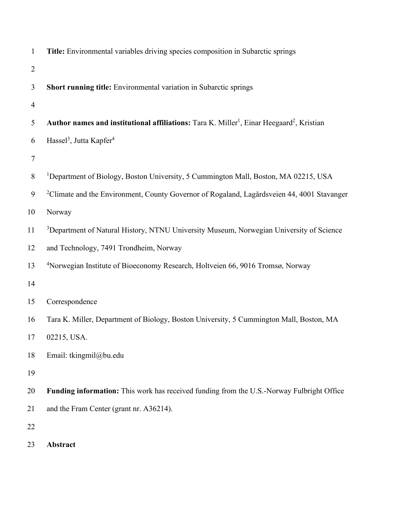| $\mathbf{1}$   | Title: Environmental variables driving species composition in Subarctic springs                                   |
|----------------|-------------------------------------------------------------------------------------------------------------------|
| $\overline{2}$ |                                                                                                                   |
| 3              | Short running title: Environmental variation in Subarctic springs                                                 |
| $\overline{4}$ |                                                                                                                   |
| 5              | Author names and institutional affiliations: Tara K. Miller <sup>1</sup> , Einar Heegaard <sup>2</sup> , Kristian |
| 6              | Hassel <sup>3</sup> , Jutta Kapfer <sup>4</sup>                                                                   |
| 7              |                                                                                                                   |
| $8\,$          | <sup>1</sup> Department of Biology, Boston University, 5 Cummington Mall, Boston, MA 02215, USA                   |
| 9              | <sup>2</sup> Climate and the Environment, County Governor of Rogaland, Lagårdsveien 44, 4001 Stavanger            |
| 10             | Norway                                                                                                            |
| 11             | <sup>3</sup> Department of Natural History, NTNU University Museum, Norwegian University of Science               |
| 12             | and Technology, 7491 Trondheim, Norway                                                                            |
| 13             | <sup>4</sup> Norwegian Institute of Bioeconomy Research, Holtveien 66, 9016 Tromsø, Norway                        |
| 14             |                                                                                                                   |
| 15             | Correspondence                                                                                                    |
| 16             | Tara K. Miller, Department of Biology, Boston University, 5 Cummington Mall, Boston, MA                           |
| 17             | 02215, USA.                                                                                                       |
| 18             | Email: tkingmil@bu.edu                                                                                            |
| 19             |                                                                                                                   |
| 20             | <b>Funding information:</b> This work has received funding from the U.S.-Norway Fulbright Office                  |
| 21             | and the Fram Center (grant nr. A36214).                                                                           |
| 22             |                                                                                                                   |
| $\mathcal{L}$  |                                                                                                                   |

**Abstract**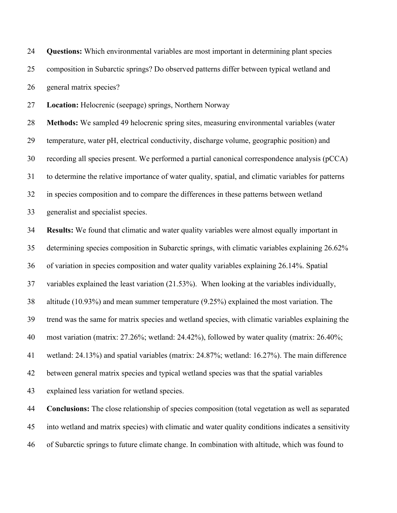**Questions:** Which environmental variables are most important in determining plant species composition in Subarctic springs? Do observed patterns differ between typical wetland and general matrix species?

**Location:** Helocrenic (seepage) springs, Northern Norway

 **Methods:** We sampled 49 helocrenic spring sites, measuring environmental variables (water temperature, water pH, electrical conductivity, discharge volume, geographic position) and recording all species present. We performed a partial canonical correspondence analysis (pCCA) to determine the relative importance of water quality, spatial, and climatic variables for patterns in species composition and to compare the differences in these patterns between wetland

generalist and specialist species.

 **Results:** We found that climatic and water quality variables were almost equally important in determining species composition in Subarctic springs, with climatic variables explaining 26.62% of variation in species composition and water quality variables explaining 26.14%. Spatial variables explained the least variation (21.53%). When looking at the variables individually, altitude (10.93%) and mean summer temperature (9.25%) explained the most variation. The trend was the same for matrix species and wetland species, with climatic variables explaining the most variation (matrix: 27.26%; wetland: 24.42%), followed by water quality (matrix: 26.40%; wetland: 24.13%) and spatial variables (matrix: 24.87%; wetland: 16.27%). The main difference between general matrix species and typical wetland species was that the spatial variables explained less variation for wetland species.

 **Conclusions:** The close relationship of species composition (total vegetation as well as separated into wetland and matrix species) with climatic and water quality conditions indicates a sensitivity of Subarctic springs to future climate change. In combination with altitude, which was found to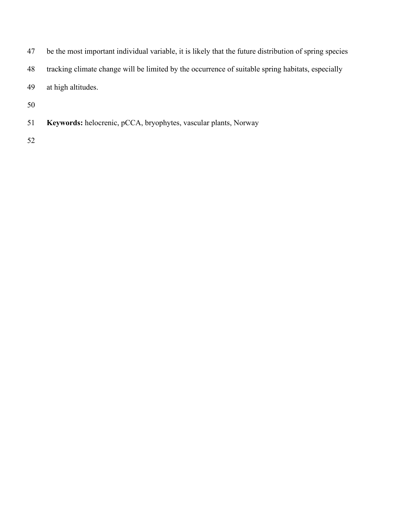- be the most important individual variable, it is likely that the future distribution of spring species
- tracking climate change will be limited by the occurrence of suitable spring habitats, especially
- at high altitudes.
- 
- **Keywords:** helocrenic, pCCA, bryophytes, vascular plants, Norway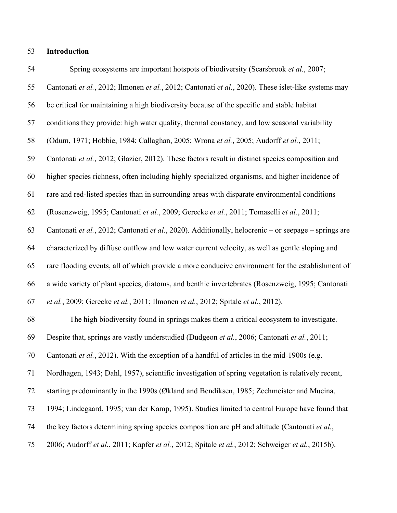## **Introduction**

| 54 | Spring ecosystems are important hotspots of biodiversity (Scarsbrook et al., 2007;                   |  |  |  |  |  |
|----|------------------------------------------------------------------------------------------------------|--|--|--|--|--|
| 55 | Cantonati et al., 2012; Ilmonen et al., 2012; Cantonati et al., 2020). These islet-like systems may  |  |  |  |  |  |
| 56 | be critical for maintaining a high biodiversity because of the specific and stable habitat           |  |  |  |  |  |
| 57 | conditions they provide: high water quality, thermal constancy, and low seasonal variability         |  |  |  |  |  |
| 58 | (Odum, 1971; Hobbie, 1984; Callaghan, 2005; Wrona et al., 2005; Audorff et al., 2011;                |  |  |  |  |  |
| 59 | Cantonati et al., 2012; Glazier, 2012). These factors result in distinct species composition and     |  |  |  |  |  |
| 60 | higher species richness, often including highly specialized organisms, and higher incidence of       |  |  |  |  |  |
| 61 | rare and red-listed species than in surrounding areas with disparate environmental conditions        |  |  |  |  |  |
| 62 | (Rosenzweig, 1995; Cantonati et al., 2009; Gerecke et al., 2011; Tomaselli et al., 2011;             |  |  |  |  |  |
| 63 | Cantonati et al., 2012; Cantonati et al., 2020). Additionally, helocrenic - or seepage - springs are |  |  |  |  |  |
| 64 | characterized by diffuse outflow and low water current velocity, as well as gentle sloping and       |  |  |  |  |  |
| 65 | rare flooding events, all of which provide a more conducive environment for the establishment of     |  |  |  |  |  |
| 66 | a wide variety of plant species, diatoms, and benthic invertebrates (Rosenzweig, 1995; Cantonati     |  |  |  |  |  |
| 67 | et al., 2009; Gerecke et al., 2011; Ilmonen et al., 2012; Spitale et al., 2012).                     |  |  |  |  |  |
| 68 | The high biodiversity found in springs makes them a critical ecosystem to investigate.               |  |  |  |  |  |
| 69 | Despite that, springs are vastly understudied (Dudgeon et al., 2006; Cantonati et al., 2011;         |  |  |  |  |  |
| 70 | Cantonati et al., 2012). With the exception of a handful of articles in the mid-1900s (e.g.          |  |  |  |  |  |
| 71 | Nordhagen, 1943; Dahl, 1957), scientific investigation of spring vegetation is relatively recent,    |  |  |  |  |  |
| 72 | starting predominantly in the 1990s (Økland and Bendiksen, 1985; Zechmeister and Mucina,             |  |  |  |  |  |
| 73 | 1994; Lindegaard, 1995; van der Kamp, 1995). Studies limited to central Europe have found that       |  |  |  |  |  |
| 74 | the key factors determining spring species composition are pH and altitude (Cantonati et al.,        |  |  |  |  |  |
| 75 | 2006; Audorff et al., 2011; Kapfer et al., 2012; Spitale et al., 2012; Schweiger et al., 2015b).     |  |  |  |  |  |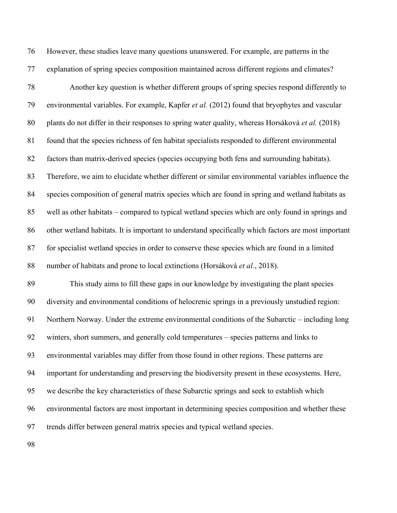However, these studies leave many questions unanswered. For example, are patterns in the explanation of spring species composition maintained across different regions and climates?

 Another key question is whether different groups of spring species respond differently to environmental variables. For example, Kapfer *et al.* (2012) found that bryophytes and vascular plants do not differ in their responses to spring water quality, whereas Horsáková *et al.* (2018) found that the species richness of fen habitat specialists responded to different environmental factors than matrix-derived species (species occupying both fens and surrounding habitats). Therefore, we aim to elucidate whether different or similar environmental variables influence the species composition of general matrix species which are found in spring and wetland habitats as well as other habitats – compared to typical wetland species which are only found in springs and other wetland habitats. It is important to understand specifically which factors are most important for specialist wetland species in order to conserve these species which are found in a limited number of habitats and prone to local extinctions (Horsáková *et al.*, 2018).

 This study aims to fill these gaps in our knowledge by investigating the plant species diversity and environmental conditions of helocrenic springs in a previously unstudied region: Northern Norway. Under the extreme environmental conditions of the Subarctic – including long winters, short summers, and generally cold temperatures – species patterns and links to environmental variables may differ from those found in other regions. These patterns are important for understanding and preserving the biodiversity present in these ecosystems. Here, we describe the key characteristics of these Subarctic springs and seek to establish which environmental factors are most important in determining species composition and whether these trends differ between general matrix species and typical wetland species.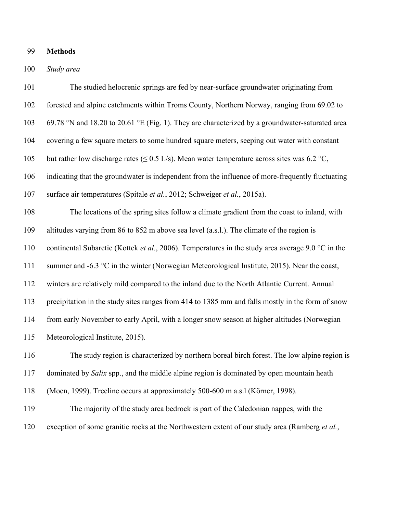### **Methods**

### *Study area*

 The studied helocrenic springs are fed by near-surface groundwater originating from forested and alpine catchments within Troms County, Northern Norway, ranging from 69.02 to 103 69.78 °N and 18.20 to 20.61 °E (Fig. 1). They are characterized by a groundwater-saturated area covering a few square meters to some hundred square meters, seeping out water with constant 105 but rather low discharge rates ( $\leq$  0.5 L/s). Mean water temperature across sites was 6.2 °C, indicating that the groundwater is independent from the influence of more-frequently fluctuating surface air temperatures (Spitale *et al.*, 2012; Schweiger *et al.*, 2015a). The locations of the spring sites follow a climate gradient from the coast to inland, with altitudes varying from 86 to 852 m above sea level (a.s.l.). The climate of the region is continental Subarctic (Kottek *et al.*, 2006). Temperatures in the study area average 9.0 °C in the 111 summer and -6.3 °C in the winter (Norwegian Meteorological Institute, 2015). Near the coast, winters are relatively mild compared to the inland due to the North Atlantic Current. Annual precipitation in the study sites ranges from 414 to 1385 mm and falls mostly in the form of snow from early November to early April, with a longer snow season at higher altitudes (Norwegian Meteorological Institute, 2015). The study region is characterized by northern boreal birch forest. The low alpine region is dominated by *Salix* spp., and the middle alpine region is dominated by open mountain heath (Moen, 1999). Treeline occurs at approximately 500-600 m a.s.l (Körner, 1998). The majority of the study area bedrock is part of the Caledonian nappes, with the

exception of some granitic rocks at the Northwestern extent of our study area (Ramberg *et al.*,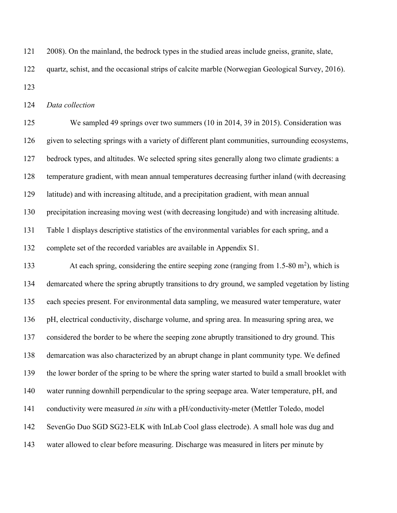2008). On the mainland, the bedrock types in the studied areas include gneiss, granite, slate, quartz, schist, and the occasional strips of calcite marble (Norwegian Geological Survey, 2016). 

*Data collection*

 We sampled 49 springs over two summers (10 in 2014, 39 in 2015). Consideration was given to selecting springs with a variety of different plant communities, surrounding ecosystems, bedrock types, and altitudes. We selected spring sites generally along two climate gradients: a temperature gradient, with mean annual temperatures decreasing further inland (with decreasing latitude) and with increasing altitude, and a precipitation gradient, with mean annual precipitation increasing moving west (with decreasing longitude) and with increasing altitude. Table 1 displays descriptive statistics of the environmental variables for each spring, and a complete set of the recorded variables are available in Appendix S1.

133 At each spring, considering the entire seeping zone (ranging from 1.5-80  $\text{m}^2$ ), which is demarcated where the spring abruptly transitions to dry ground, we sampled vegetation by listing each species present. For environmental data sampling, we measured water temperature, water pH, electrical conductivity, discharge volume, and spring area. In measuring spring area, we considered the border to be where the seeping zone abruptly transitioned to dry ground. This demarcation was also characterized by an abrupt change in plant community type. We defined the lower border of the spring to be where the spring water started to build a small brooklet with water running downhill perpendicular to the spring seepage area. Water temperature, pH, and conductivity were measured *in situ* with a pH/conductivity-meter (Mettler Toledo, model SevenGo Duo SGD SG23-ELK with InLab Cool glass electrode). A small hole was dug and water allowed to clear before measuring. Discharge was measured in liters per minute by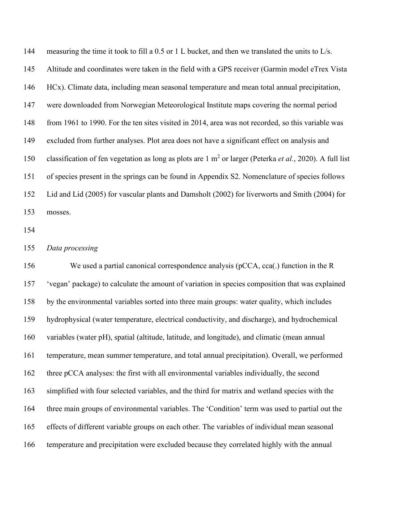144 measuring the time it took to fill a 0.5 or 1 L bucket, and then we translated the units to  $L/s$ . Altitude and coordinates were taken in the field with a GPS receiver (Garmin model eTrex Vista HCx). Climate data, including mean seasonal temperature and mean total annual precipitation, were downloaded from Norwegian Meteorological Institute maps covering the normal period from 1961 to 1990. For the ten sites visited in 2014, area was not recorded, so this variable was excluded from further analyses. Plot area does not have a significant effect on analysis and 150 classification of fen vegetation as long as plots are 1 m<sup>2</sup> or larger (Peterka *et al.*, 2020). A full list of species present in the springs can be found in Appendix S2. Nomenclature of species follows Lid and Lid (2005) for vascular plants and Damsholt (2002) for liverworts and Smith (2004) for mosses.

#### *Data processing*

 We used a partial canonical correspondence analysis (pCCA, cca(.) function in the R 'vegan' package) to calculate the amount of variation in species composition that was explained by the environmental variables sorted into three main groups: water quality, which includes hydrophysical (water temperature, electrical conductivity, and discharge), and hydrochemical variables (water pH), spatial (altitude, latitude, and longitude), and climatic (mean annual temperature, mean summer temperature, and total annual precipitation). Overall, we performed three pCCA analyses: the first with all environmental variables individually, the second simplified with four selected variables, and the third for matrix and wetland species with the three main groups of environmental variables. The 'Condition' term was used to partial out the effects of different variable groups on each other. The variables of individual mean seasonal temperature and precipitation were excluded because they correlated highly with the annual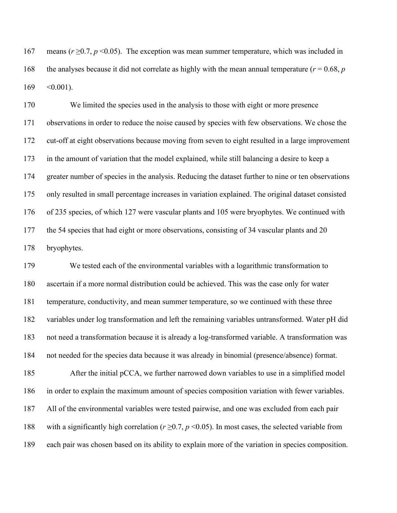167 means  $(r \ge 0.7, p \le 0.05)$ . The exception was mean summer temperature, which was included in 168 the analyses because it did not correlate as highly with the mean annual temperature ( $r = 0.68$ ,  $p$ )  $169 \quad \textless 0.001$ ).

 We limited the species used in the analysis to those with eight or more presence observations in order to reduce the noise caused by species with few observations. We chose the cut-off at eight observations because moving from seven to eight resulted in a large improvement in the amount of variation that the model explained, while still balancing a desire to keep a greater number of species in the analysis. Reducing the dataset further to nine or ten observations only resulted in small percentage increases in variation explained. The original dataset consisted of 235 species, of which 127 were vascular plants and 105 were bryophytes. We continued with the 54 species that had eight or more observations, consisting of 34 vascular plants and 20 bryophytes.

 We tested each of the environmental variables with a logarithmic transformation to ascertain if a more normal distribution could be achieved. This was the case only for water temperature, conductivity, and mean summer temperature, so we continued with these three variables under log transformation and left the remaining variables untransformed. Water pH did not need a transformation because it is already a log-transformed variable. A transformation was not needed for the species data because it was already in binomial (presence/absence) format.

185 After the initial pCCA, we further narrowed down variables to use in a simplified model in order to explain the maximum amount of species composition variation with fewer variables. All of the environmental variables were tested pairwise, and one was excluded from each pair 188 with a significantly high correlation ( $r \ge 0.7$ ,  $p \le 0.05$ ). In most cases, the selected variable from each pair was chosen based on its ability to explain more of the variation in species composition.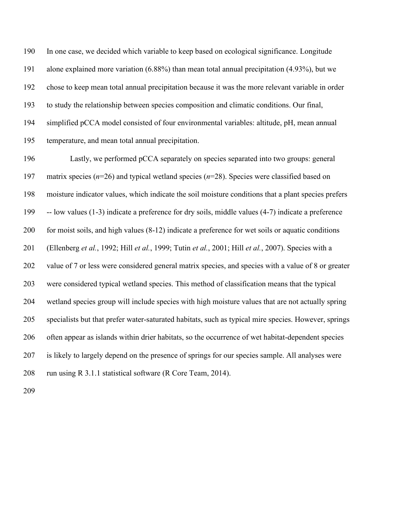In one case, we decided which variable to keep based on ecological significance. Longitude alone explained more variation (6.88%) than mean total annual precipitation (4.93%), but we chose to keep mean total annual precipitation because it was the more relevant variable in order to study the relationship between species composition and climatic conditions. Our final, simplified pCCA model consisted of four environmental variables: altitude, pH, mean annual temperature, and mean total annual precipitation.

 Lastly, we performed pCCA separately on species separated into two groups: general matrix species (*n*=26) and typical wetland species (*n*=28). Species were classified based on moisture indicator values, which indicate the soil moisture conditions that a plant species prefers -- low values (1-3) indicate a preference for dry soils, middle values (4-7) indicate a preference for moist soils, and high values (8-12) indicate a preference for wet soils or aquatic conditions (Ellenberg *et al.*, 1992; Hill *et al.*, 1999; Tutin *et al.*, 2001; Hill *et al.*, 2007). Species with a value of 7 or less were considered general matrix species, and species with a value of 8 or greater were considered typical wetland species. This method of classification means that the typical wetland species group will include species with high moisture values that are not actually spring specialists but that prefer water-saturated habitats, such as typical mire species. However, springs often appear as islands within drier habitats, so the occurrence of wet habitat-dependent species is likely to largely depend on the presence of springs for our species sample. All analyses were 208 run using R 3.1.1 statistical software (R Core Team, 2014).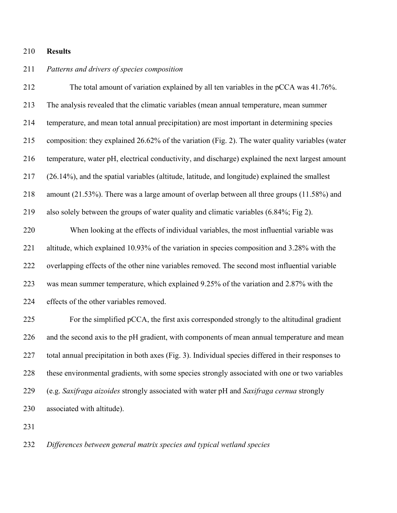## **Results**

## *Patterns and drivers of species composition*

 The total amount of variation explained by all ten variables in the pCCA was 41.76%. The analysis revealed that the climatic variables (mean annual temperature, mean summer temperature, and mean total annual precipitation) are most important in determining species composition: they explained 26.62% of the variation (Fig. 2). The water quality variables (water temperature, water pH, electrical conductivity, and discharge) explained the next largest amount (26.14%), and the spatial variables (altitude, latitude, and longitude) explained the smallest amount (21.53%). There was a large amount of overlap between all three groups (11.58%) and also solely between the groups of water quality and climatic variables (6.84%; Fig 2).

 When looking at the effects of individual variables, the most influential variable was altitude, which explained 10.93% of the variation in species composition and 3.28% with the overlapping effects of the other nine variables removed. The second most influential variable was mean summer temperature, which explained 9.25% of the variation and 2.87% with the effects of the other variables removed.

 For the simplified pCCA, the first axis corresponded strongly to the altitudinal gradient and the second axis to the pH gradient, with components of mean annual temperature and mean total annual precipitation in both axes (Fig. 3). Individual species differed in their responses to these environmental gradients, with some species strongly associated with one or two variables (e.g. *Saxifraga aizoides* strongly associated with water pH and *Saxifraga cernua* strongly associated with altitude).

*Differences between general matrix species and typical wetland species*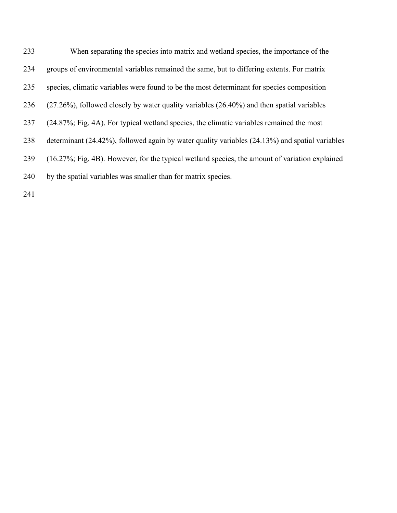| 233 | When separating the species into matrix and wetland species, the importance of the                    |
|-----|-------------------------------------------------------------------------------------------------------|
| 234 | groups of environmental variables remained the same, but to differing extents. For matrix             |
| 235 | species, climatic variables were found to be the most determinant for species composition             |
| 236 | $(27.26\%)$ , followed closely by water quality variables $(26.40\%)$ and then spatial variables      |
| 237 | (24.87%; Fig. 4A). For typical wetland species, the climatic variables remained the most              |
| 238 | determinant $(24.42\%)$ , followed again by water quality variables $(24.13\%)$ and spatial variables |
| 239 | (16.27%; Fig. 4B). However, for the typical wetland species, the amount of variation explained        |
| 240 | by the spatial variables was smaller than for matrix species.                                         |
|     |                                                                                                       |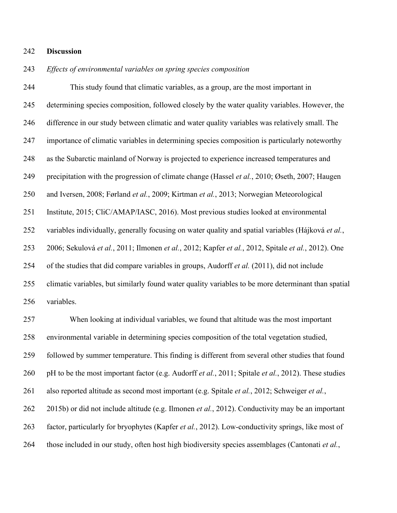#### **Discussion**

## *Effects of environmental variables on spring species composition*

 This study found that climatic variables, as a group, are the most important in determining species composition, followed closely by the water quality variables. However, the difference in our study between climatic and water quality variables was relatively small. The importance of climatic variables in determining species composition is particularly noteworthy as the Subarctic mainland of Norway is projected to experience increased temperatures and precipitation with the progression of climate change (Hassel *et al.*, 2010; Øseth, 2007; Haugen and Iversen, 2008; Førland *et al.*, 2009; Kirtman *et al.*, 2013; Norwegian Meteorological Institute, 2015; CliC/AMAP/IASC, 2016). Most previous studies looked at environmental variables individually, generally focusing on water quality and spatial variables (Hájková *et al.*, 2006; Sekulová *et al.*, 2011; Ilmonen *et al.*, 2012; Kapfer *et al.*, 2012, Spitale *et al.*, 2012). One of the studies that did compare variables in groups, Audorff *et al.* (2011), did not include climatic variables, but similarly found water quality variables to be more determinant than spatial variables.

 When looking at individual variables, we found that altitude was the most important environmental variable in determining species composition of the total vegetation studied, followed by summer temperature. This finding is different from several other studies that found pH to be the most important factor (e.g. Audorff *et al.*, 2011; Spitale *et al.*, 2012). These studies also reported altitude as second most important (e.g. Spitale *et al.*, 2012; Schweiger *et al.*, 2015b) or did not include altitude (e.g. Ilmonen *et al.*, 2012). Conductivity may be an important factor, particularly for bryophytes (Kapfer *et al.*, 2012). Low-conductivity springs, like most of those included in our study, often host high biodiversity species assemblages (Cantonati *et al.*,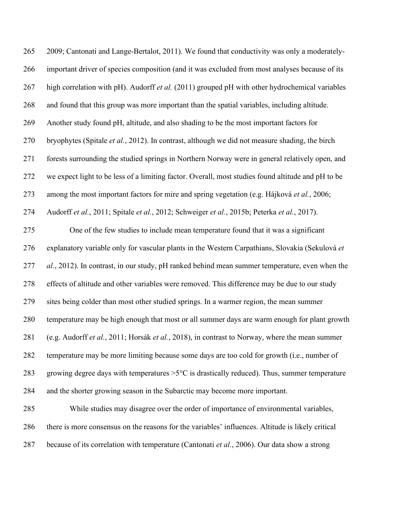| 265 | 2009; Cantonati and Lange-Bertalot, 2011). We found that conductivity was only a moderately-           |
|-----|--------------------------------------------------------------------------------------------------------|
| 266 | important driver of species composition (and it was excluded from most analyses because of its         |
| 267 | high correlation with pH). Audorff et al. (2011) grouped pH with other hydrochemical variables         |
| 268 | and found that this group was more important than the spatial variables, including altitude.           |
| 269 | Another study found pH, altitude, and also shading to be the most important factors for                |
| 270 | bryophytes (Spitale et al., 2012). In contrast, although we did not measure shading, the birch         |
| 271 | forests surrounding the studied springs in Northern Norway were in general relatively open, and        |
| 272 | we expect light to be less of a limiting factor. Overall, most studies found altitude and pH to be     |
| 273 | among the most important factors for mire and spring vegetation (e.g. Hájková et al., 2006;            |
| 274 | Audorff et al., 2011; Spitale et al., 2012; Schweiger et al., 2015b; Peterka et al., 2017).            |
| 275 | One of the few studies to include mean temperature found that it was a significant                     |
| 276 | explanatory variable only for vascular plants in the Western Carpathians, Slovakia (Sekulová et        |
| 277 | al., 2012). In contrast, in our study, pH ranked behind mean summer temperature, even when the         |
| 278 | effects of altitude and other variables were removed. This difference may be due to our study          |
| 279 | sites being colder than most other studied springs. In a warmer region, the mean summer                |
| 280 | temperature may be high enough that most or all summer days are warm enough for plant growth           |
| 281 | (e.g. Audorff et al., 2011; Horsák et al., 2018), in contrast to Norway, where the mean summer         |
| 282 | temperature may be more limiting because some days are too cold for growth (i.e., number of            |
| 283 | growing degree days with temperatures $>5^{\circ}$ C is drastically reduced). Thus, summer temperature |
| 284 | and the shorter growing season in the Subarctic may become more important.                             |
| 285 | While studies may disagree over the order of importance of environmental variables,                    |
| 286 | there is more consensus on the reasons for the variables' influences. Altitude is likely critical      |
| 287 | because of its correlation with temperature (Cantonati et al., 2006). Our data show a strong           |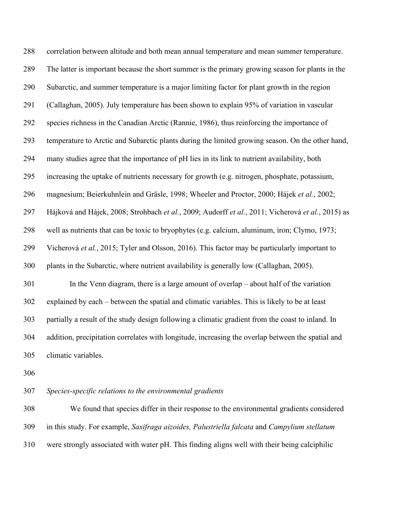correlation between altitude and both mean annual temperature and mean summer temperature. The latter is important because the short summer is the primary growing season for plants in the Subarctic, and summer temperature is a major limiting factor for plant growth in the region (Callaghan, 2005). July temperature has been shown to explain 95% of variation in vascular species richness in the Canadian Arctic (Rannie, 1986), thus reinforcing the importance of temperature to Arctic and Subarctic plants during the limited growing season. On the other hand, many studies agree that the importance of pH lies in its link to nutrient availability, both increasing the uptake of nutrients necessary for growth (e.g. nitrogen, phosphate, potassium, magnesium; Beierkuhnlein and Gräsle, 1998; Wheeler and Proctor, 2000; Hájek *et al.*, 2002; Hájková and Hájek, 2008; Strohbach *et al.*, 2009; Audorff *et al.*, 2011; Vicherová *et al.*, 2015) as well as nutrients that can be toxic to bryophytes (e.g. calcium, aluminum, iron; Clymo, 1973; Vicherová *et al.*, 2015; Tyler and Olsson, 2016). This factor may be particularly important to plants in the Subarctic, where nutrient availability is generally low (Callaghan, 2005). In the Venn diagram, there is a large amount of overlap – about half of the variation explained by each – between the spatial and climatic variables. This is likely to be at least partially a result of the study design following a climatic gradient from the coast to inland. In addition, precipitation correlates with longitude, increasing the overlap between the spatial and climatic variables.

*Species-specific relations to the environmental gradients*

 We found that species differ in their response to the environmental gradients considered in this study. For example, *Saxifraga aizoides, Palustriella falcata* and *Campylium stellatum* were strongly associated with water pH. This finding aligns well with their being calciphilic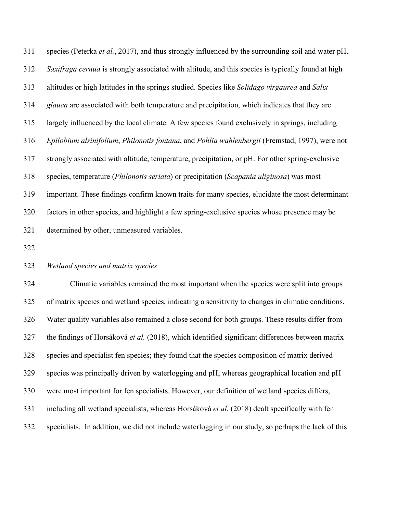species (Peterka *et al.*, 2017), and thus strongly influenced by the surrounding soil and water pH. *Saxifraga cernua* is strongly associated with altitude, and this species is typically found at high altitudes or high latitudes in the springs studied. Species like *Solidago virgaurea* and *Salix glauca* are associated with both temperature and precipitation, which indicates that they are largely influenced by the local climate. A few species found exclusively in springs, including *Epilobium alsinifolium*, *Philonotis fontana*, and *Pohlia wahlenbergii* (Fremstad, 1997), were not strongly associated with altitude, temperature, precipitation, or pH. For other spring-exclusive species, temperature (*Philonotis seriata*) or precipitation (*Scapania uliginosa*) was most important. These findings confirm known traits for many species, elucidate the most determinant factors in other species, and highlight a few spring-exclusive species whose presence may be determined by other, unmeasured variables.

## *Wetland species and matrix species*

 Climatic variables remained the most important when the species were split into groups of matrix species and wetland species, indicating a sensitivity to changes in climatic conditions. Water quality variables also remained a close second for both groups. These results differ from the findings of Horsáková *et al.* (2018), which identified significant differences between matrix species and specialist fen species; they found that the species composition of matrix derived species was principally driven by waterlogging and pH, whereas geographical location and pH were most important for fen specialists. However, our definition of wetland species differs, including all wetland specialists, whereas Horsáková *et al.* (2018) dealt specifically with fen specialists. In addition, we did not include waterlogging in our study, so perhaps the lack of this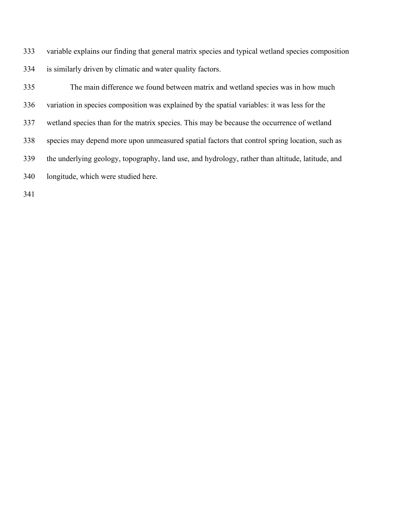variable explains our finding that general matrix species and typical wetland species composition is similarly driven by climatic and water quality factors.

 The main difference we found between matrix and wetland species was in how much variation in species composition was explained by the spatial variables: it was less for the wetland species than for the matrix species. This may be because the occurrence of wetland species may depend more upon unmeasured spatial factors that control spring location, such as the underlying geology, topography, land use, and hydrology, rather than altitude, latitude, and longitude, which were studied here.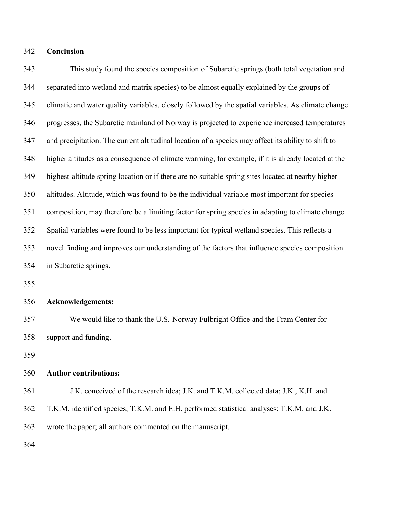## **Conclusion**

 This study found the species composition of Subarctic springs (both total vegetation and separated into wetland and matrix species) to be almost equally explained by the groups of climatic and water quality variables, closely followed by the spatial variables. As climate change progresses, the Subarctic mainland of Norway is projected to experience increased temperatures and precipitation. The current altitudinal location of a species may affect its ability to shift to higher altitudes as a consequence of climate warming, for example, if it is already located at the highest-altitude spring location or if there are no suitable spring sites located at nearby higher altitudes. Altitude, which was found to be the individual variable most important for species composition, may therefore be a limiting factor for spring species in adapting to climate change. Spatial variables were found to be less important for typical wetland species. This reflects a novel finding and improves our understanding of the factors that influence species composition in Subarctic springs.

#### **Acknowledgements:**

 We would like to thank the U.S.-Norway Fulbright Office and the Fram Center for support and funding.

#### **Author contributions:**

 J.K. conceived of the research idea; J.K. and T.K.M. collected data; J.K., K.H. and T.K.M. identified species; T.K.M. and E.H. performed statistical analyses; T.K.M. and J.K. wrote the paper; all authors commented on the manuscript.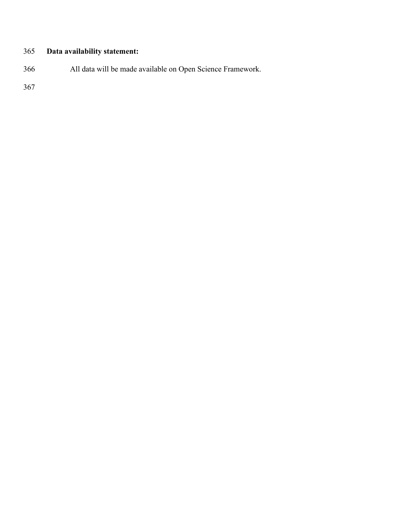# **Data availability statement:**

All data will be made available on Open Science Framework.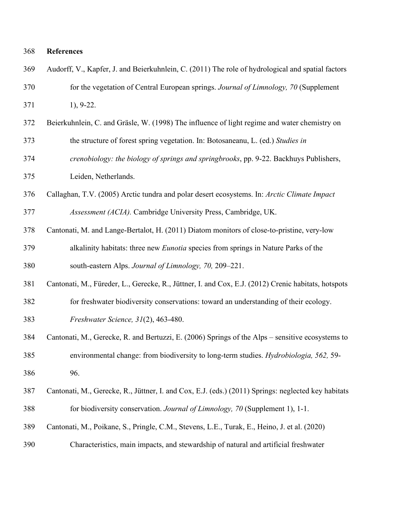- Audorff, V., Kapfer, J. and Beierkuhnlein, C. (2011) The role of hydrological and spatial factors
- for the vegetation of Central European springs. *Journal of Limnology, 70* (Supplement
- 1), 9-22.
- Beierkuhnlein, C. and Gräsle, W. (1998) The influence of light regime and water chemistry on
- the structure of forest spring vegetation. In: Botosaneanu, L. (ed.) *Studies in*
- *crenobiology: the biology of springs and springbrooks*, pp. 9-22. Backhuys Publishers, Leiden, Netherlands.
- Callaghan, T.V. (2005) Arctic tundra and polar desert ecosystems. In: *Arctic Climate Impact*
- *Assessment (ACIA).* Cambridge University Press, Cambridge, UK.
- Cantonati, M. and Lange-Bertalot, H. (2011) Diatom monitors of close-to-pristine, very-low alkalinity habitats: three new *Eunotia* species from springs in Nature Parks of the south-eastern Alps. *Journal of Limnology, 70,* 209–221.
- Cantonati, M., Füreder, L., Gerecke, R., Jüttner, I. and Cox, E.J. (2012) Crenic habitats, hotspots
- for freshwater biodiversity conservations: toward an understanding of their ecology.
- *Freshwater Science, 31*(2), 463-480.
- Cantonati, M., Gerecke, R. and Bertuzzi, E. (2006) Springs of the Alps sensitive ecosystems to environmental change: from biodiversity to long-term studies. *Hydrobiologia, 562,* 59- 96.
- Cantonati, M., Gerecke, R., Jüttner, I. and Cox, E.J. (eds.) (2011) Springs: neglected key habitats for biodiversity conservation. *Journal of Limnology, 70* (Supplement 1), 1-1.
- Cantonati, M., Poikane, S., Pringle, C.M., Stevens, L.E., Turak, E., Heino, J. et al. (2020)
- Characteristics, main impacts, and stewardship of natural and artificial freshwater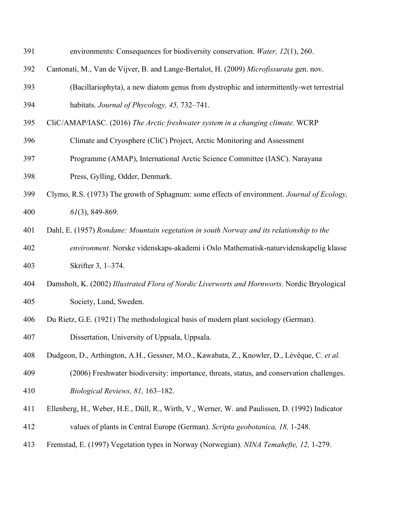| 391 | environments: Consequences for biodiversity conservation. Water, 12(1), 260.                   |  |  |  |  |
|-----|------------------------------------------------------------------------------------------------|--|--|--|--|
| 392 | Cantonati, M., Van de Vijver, B. and Lange-Bertalot, H. (2009) Microfissurata gen. nov.        |  |  |  |  |
| 393 | (Bacillariophyta), a new diatom genus from dystrophic and intermittently-wet terrestrial       |  |  |  |  |
| 394 | habitats. Journal of Phycology, 45, 732-741.                                                   |  |  |  |  |
| 395 | CliC/AMAP/IASC. (2016) The Arctic freshwater system in a changing climate. WCRP                |  |  |  |  |
| 396 | Climate and Cryosphere (CliC) Project, Arctic Monitoring and Assessment                        |  |  |  |  |
| 397 | Programme (AMAP), International Arctic Science Committee (IASC). Narayana                      |  |  |  |  |
| 398 | Press, Gylling, Odder, Denmark.                                                                |  |  |  |  |
| 399 | Clymo, R.S. (1973) The growth of Sphagnum: some effects of environment. Journal of Ecology,    |  |  |  |  |
| 400 | $61(3)$ , 849-869.                                                                             |  |  |  |  |
| 401 | Dahl, E. (1957) Rondane: Mountain vegetation in south Norway and its relationship to the       |  |  |  |  |
| 402 | environment. Norske videnskaps-akademi i Oslo Mathematisk-naturvidenskapelig klasse            |  |  |  |  |
| 403 | Skrifter 3, 1-374.                                                                             |  |  |  |  |
| 404 | Damsholt, K. (2002) Illustrated Flora of Nordic Liverworts and Hornworts. Nordic Bryological   |  |  |  |  |
| 405 | Society, Lund, Sweden.                                                                         |  |  |  |  |
| 406 | Du Rietz, G.E. (1921) The methodological basis of modern plant sociology (German).             |  |  |  |  |
| 407 | Dissertation, University of Uppsala, Uppsala.                                                  |  |  |  |  |
| 408 | Dudgeon, D., Arthington, A.H., Gessner, M.O., Kawabata, Z., Knowler, D., Lévêque, C. et al.    |  |  |  |  |
| 409 | (2006) Freshwater biodiversity: importance, threats, status, and conservation challenges.      |  |  |  |  |
| 410 | Biological Reviews, 81, 163-182.                                                               |  |  |  |  |
| 411 | Ellenberg, H., Weber, H.E., Düll, R., Wirth, V., Werner, W. and Paulissen, D. (1992) Indicator |  |  |  |  |
| 412 | values of plants in Central Europe (German). Scripta geobotanica, 18, 1-248.                   |  |  |  |  |
| 413 | Fremstad, E. (1997) Vegetation types in Norway (Norwegian). NINA Temahefte, 12, 1-279.         |  |  |  |  |
|     |                                                                                                |  |  |  |  |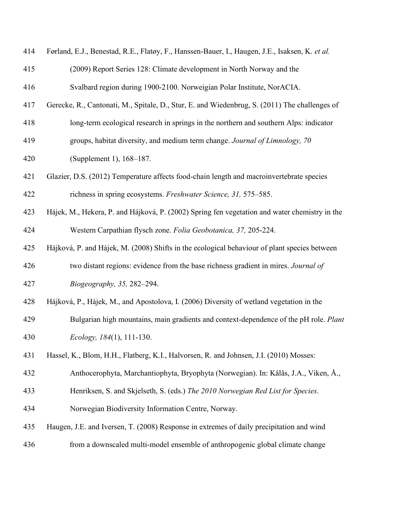| 414 | Førland, E.J., Benestad, R.E., Flatøy, F., Hanssen-Bauer, I., Haugen, J.E., Isaksen, K. et al. |  |  |  |  |
|-----|------------------------------------------------------------------------------------------------|--|--|--|--|
| 415 | (2009) Report Series 128: Climate development in North Norway and the                          |  |  |  |  |
| 416 | Svalbard region during 1900-2100. Norweigian Polar Institute, NorACIA.                         |  |  |  |  |
| 417 | Gerecke, R., Cantonati, M., Spitale, D., Stur, E. and Wiedenbrug, S. (2011) The challenges of  |  |  |  |  |
| 418 | long-term ecological research in springs in the northern and southern Alps: indicator          |  |  |  |  |
| 419 | groups, habitat diversity, and medium term change. Journal of Limnology, 70                    |  |  |  |  |
| 420 | (Supplement 1), 168-187.                                                                       |  |  |  |  |
| 421 | Glazier, D.S. (2012) Temperature affects food-chain length and macroinvertebrate species       |  |  |  |  |
| 422 | richness in spring ecosystems. Freshwater Science, 31, 575–585.                                |  |  |  |  |
| 423 | Hájek, M., Hekera, P. and Hájková, P. (2002) Spring fen vegetation and water chemistry in the  |  |  |  |  |
| 424 | Western Carpathian flysch zone. Folia Geobotanica, 37, 205-224.                                |  |  |  |  |
| 425 | Hájková, P. and Hájek, M. (2008) Shifts in the ecological behaviour of plant species between   |  |  |  |  |
| 426 | two distant regions: evidence from the base richness gradient in mires. Journal of             |  |  |  |  |
| 427 | Biogeography, 35, 282-294.                                                                     |  |  |  |  |
| 428 | Hájková, P., Hájek, M., and Apostolova, I. (2006) Diversity of wetland vegetation in the       |  |  |  |  |
| 429 | Bulgarian high mountains, main gradients and context-dependence of the pH role. Plant          |  |  |  |  |
| 430 | Ecology, $184(1)$ , 111-130.                                                                   |  |  |  |  |
| 431 | Hassel, K., Blom, H.H., Flatberg, K.I., Halvorsen, R. and Johnsen, J.I. (2010) Mosses:         |  |  |  |  |
| 432 | Anthocerophyta, Marchantiophyta, Bryophyta (Norwegian). In: Kålås, J.A., Viken, Å.,            |  |  |  |  |
| 433 | Henriksen, S. and Skjelseth, S. (eds.) The 2010 Norwegian Red List for Species.                |  |  |  |  |
| 434 | Norwegian Biodiversity Information Centre, Norway.                                             |  |  |  |  |
| 435 | Haugen, J.E. and Iversen, T. (2008) Response in extremes of daily precipitation and wind       |  |  |  |  |
| 436 | from a downscaled multi-model ensemble of anthropogenic global climate change                  |  |  |  |  |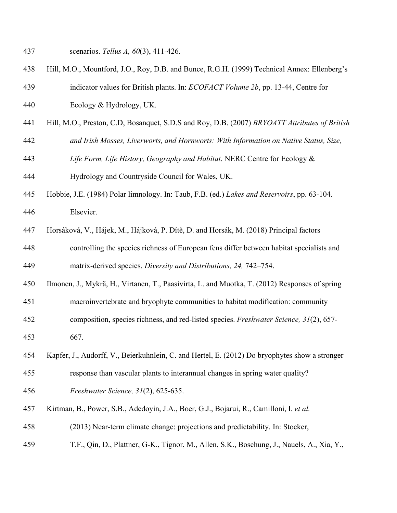- scenarios. *Tellus A, 60*(3), 411-426.
- Hill, M.O., Mountford, J.O., Roy, D.B. and Bunce, R.G.H. (1999) Technical Annex: Ellenberg's
- indicator values for British plants. In: *ECOFACT Volume 2b*, pp. 13-44, Centre for
- Ecology & Hydrology, UK.
- Hill, M.O., Preston, C.D, Bosanquet, S.D.S and Roy, D.B. (2007) *BRYOATT Attributes of British*
- *and Irish Mosses, Liverworts, and Hornworts: With Information on Native Status, Size,*
- *Life Form, Life History, Geography and Habitat*. NERC Centre for Ecology &
- Hydrology and Countryside Council for Wales, UK.
- Hobbie, J.E. (1984) Polar limnology. In: Taub, F.B. (ed.) *Lakes and Reservoirs*, pp. 63-104. Elsevier.
- Horsáková, V., Hájek, M., Hájková, P. Dítě, D. and Horsák, M. (2018) Principal factors controlling the species richness of European fens differ between habitat specialists and matrix-derived species. *Diversity and Distributions, 24,* 742–754.
- Ilmonen, J., Mykrä, H., Virtanen, T., Paasivirta, L. and Muotka, T. (2012) Responses of spring
- macroinvertebrate and bryophyte communities to habitat modification: community
- composition, species richness, and red-listed species. *Freshwater Science, 31*(2), 657- 667.
- Kapfer, J., Audorff, V., Beierkuhnlein, C. and Hertel, E. (2012) Do bryophytes show a stronger
- response than vascular plants to interannual changes in spring water quality?
- *Freshwater Science, 31*(2), 625-635.
- Kirtman, B., Power, S.B., Adedoyin, J.A., Boer, G.J., Bojarui, R., Camilloni, I. *et al.*
- (2013) Near-term climate change: projections and predictability. In: Stocker,
- T.F., Qin, D., Plattner, G-K., Tignor, M., Allen, S.K., Boschung, J., Nauels, A., Xia, Y.,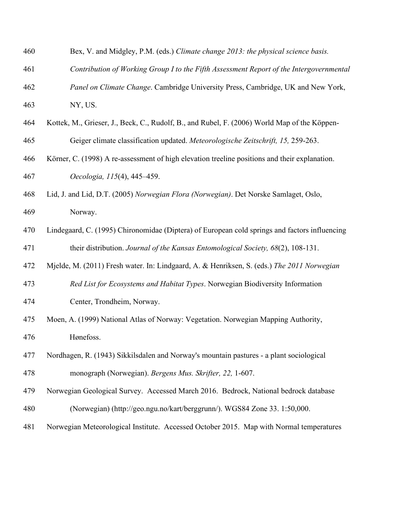| 460 | Bex, V. and Midgley, P.M. (eds.) Climate change 2013: the physical science basis.             |  |  |  |  |  |
|-----|-----------------------------------------------------------------------------------------------|--|--|--|--|--|
| 461 | Contribution of Working Group I to the Fifth Assessment Report of the Intergovernmental       |  |  |  |  |  |
| 462 | Panel on Climate Change. Cambridge University Press, Cambridge, UK and New York,              |  |  |  |  |  |
| 463 | NY, US.                                                                                       |  |  |  |  |  |
| 464 | Kottek, M., Grieser, J., Beck, C., Rudolf, B., and Rubel, F. (2006) World Map of the Köppen-  |  |  |  |  |  |
| 465 | Geiger climate classification updated. Meteorologische Zeitschrift, 15, 259-263.              |  |  |  |  |  |
| 466 | Körner, C. (1998) A re-assessment of high elevation treeline positions and their explanation. |  |  |  |  |  |
| 467 | Oecologia, 115(4), 445-459.                                                                   |  |  |  |  |  |
| 468 | Lid, J. and Lid, D.T. (2005) Norwegian Flora (Norwegian). Det Norske Samlaget, Oslo,          |  |  |  |  |  |
| 469 | Norway.                                                                                       |  |  |  |  |  |
| 470 | Lindegaard, C. (1995) Chironomidae (Diptera) of European cold springs and factors influencing |  |  |  |  |  |
| 471 | their distribution. Journal of the Kansas Entomological Society, 68(2), 108-131.              |  |  |  |  |  |
| 472 | Mjelde, M. (2011) Fresh water. In: Lindgaard, A. & Henriksen, S. (eds.) The 2011 Norwegian    |  |  |  |  |  |
| 473 | Red List for Ecosystems and Habitat Types. Norwegian Biodiversity Information                 |  |  |  |  |  |
| 474 | Center, Trondheim, Norway.                                                                    |  |  |  |  |  |
| 475 | Moen, A. (1999) National Atlas of Norway: Vegetation. Norwegian Mapping Authority,            |  |  |  |  |  |
| 476 | Hønefoss.                                                                                     |  |  |  |  |  |
| 477 | Nordhagen, R. (1943) Sikkilsdalen and Norway's mountain pastures - a plant sociological       |  |  |  |  |  |
| 478 | monograph (Norwegian). Bergens Mus. Skrifter, 22, 1-607.                                      |  |  |  |  |  |
| 479 | Norwegian Geological Survey. Accessed March 2016. Bedrock, National bedrock database          |  |  |  |  |  |
| 480 | (Norwegian) (http://geo.ngu.no/kart/berggrunn/). WGS84 Zone 33. 1:50,000.                     |  |  |  |  |  |
| 481 | Norwegian Meteorological Institute. Accessed October 2015. Map with Normal temperatures       |  |  |  |  |  |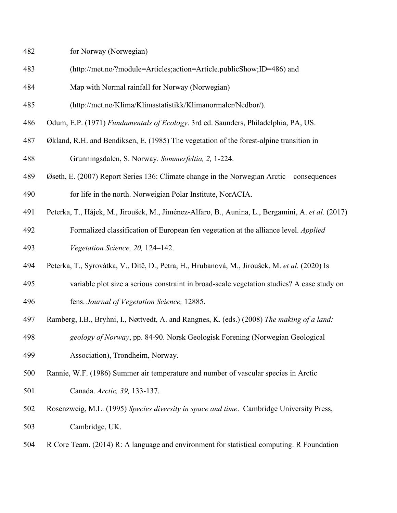- for Norway (Norwegian)
- (http://met.no/?module=Articles;action=Article.publicShow;ID=486) and
- Map with Normal rainfall for Norway (Norwegian)
- (http://met.no/Klima/Klimastatistikk/Klimanormaler/Nedbor/).
- Odum, E.P. (1971) *Fundamentals of Ecology*. 3rd ed. Saunders, Philadelphia, PA, US.
- Økland, R.H. and Bendiksen, E. (1985) The vegetation of the forest-alpine transition in Grunningsdalen, S. Norway. *Sommerfeltia, 2,* 1-224.
- Øseth, E. (2007) Report Series 136: Climate change in the Norwegian Arctic consequences for life in the north. Norweigian Polar Institute, NorACIA.
- Peterka, T., Hájek, M., Jiroušek, M., Jiménez-Alfaro, B., Aunina, L., Bergamini, A. *et al.* (2017)
- Formalized classification of European fen vegetation at the alliance level. *Applied Vegetation Science, 20,* 124–142.
- Peterka, T., Syrovátka, V., Dítě, D., Petra, H., Hrubanová, M., Jiroušek, M. *et al.* (2020) Is
- variable plot size a serious constraint in broad-scale vegetation studies? A case study on fens. *Journal of Vegetation Science,* 12885.
- Ramberg, I.B., Bryhni, I., Nøttvedt, A. and Rangnes, K. (eds.) (2008) *The making of a land:*

 *geology of Norway*, pp. 84-90. Norsk Geologisk Forening (Norwegian Geological Association), Trondheim, Norway.

- Rannie, W.F. (1986) Summer air temperature and number of vascular species in Arctic Canada. *Arctic, 39,* 133-137.
- Rosenzweig, M.L. (1995) *Species diversity in space and time*. Cambridge University Press, Cambridge, UK.
- R Core Team. (2014) R: A language and environment for statistical computing. R Foundation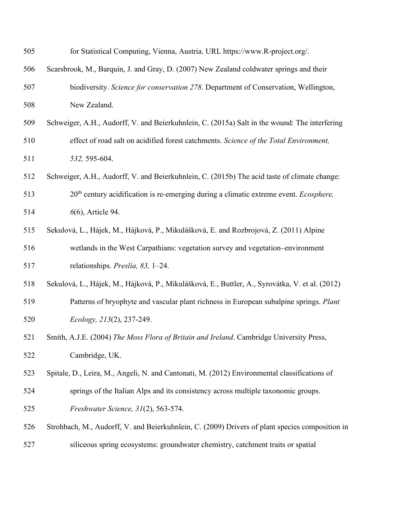| 505 | for Statistical Computing, Vienna, Austria. URL https://www.R-project.org/.                     |  |  |  |  |
|-----|-------------------------------------------------------------------------------------------------|--|--|--|--|
| 506 | Scarsbrook, M., Barquín, J. and Gray, D. (2007) New Zealand coldwater springs and their         |  |  |  |  |
| 507 | biodiversity. Science for conservation 278. Department of Conservation, Wellington,             |  |  |  |  |
| 508 | New Zealand.                                                                                    |  |  |  |  |
| 509 | Schweiger, A.H., Audorff, V. and Beierkuhnlein, C. (2015a) Salt in the wound: The interfering   |  |  |  |  |
| 510 | effect of road salt on acidified forest catchments. Science of the Total Environment,           |  |  |  |  |
| 511 | 532, 595-604.                                                                                   |  |  |  |  |
| 512 | Schweiger, A.H., Audorff, V. and Beierkuhnlein, C. (2015b) The acid taste of climate change:    |  |  |  |  |
| 513 | $20th$ century acidification is re-emerging during a climatic extreme event. <i>Ecosphere</i> , |  |  |  |  |
| 514 | 6(6), Article 94.                                                                               |  |  |  |  |
| 515 | Sekulová, L., Hájek, M., Hájková, P., Mikulášková, E. and Rozbrojová, Z. (2011) Alpine          |  |  |  |  |
| 516 | wetlands in the West Carpathians: vegetation survey and vegetation-environment                  |  |  |  |  |
| 517 | relationships. Preslia, 83, 1-24.                                                               |  |  |  |  |
| 518 | Sekulová, L., Hájek, M., Hájková, P., Mikulášková, E., Buttler, A., Syrovátka, V. et al. (2012) |  |  |  |  |
| 519 | Patterns of bryophyte and vascular plant richness in European subalpine springs. Plant          |  |  |  |  |
| 520 | Ecology, 213(2), 237-249.                                                                       |  |  |  |  |
| 521 | Smith, A.J.E. (2004) The Moss Flora of Britain and Ireland. Cambridge University Press,         |  |  |  |  |
| 522 | Cambridge, UK.                                                                                  |  |  |  |  |
| 523 | Spitale, D., Leira, M., Angeli, N. and Cantonati, M. (2012) Environmental classifications of    |  |  |  |  |
| 524 | springs of the Italian Alps and its consistency across multiple taxonomic groups.               |  |  |  |  |
| 525 | Freshwater Science, 31(2), 563-574.                                                             |  |  |  |  |
| 526 | Strohbach, M., Audorff, V. and Beierkuhnlein, C. (2009) Drivers of plant species composition in |  |  |  |  |
| 527 | siliceous spring ecosystems: groundwater chemistry, catchment traits or spatial                 |  |  |  |  |
|     |                                                                                                 |  |  |  |  |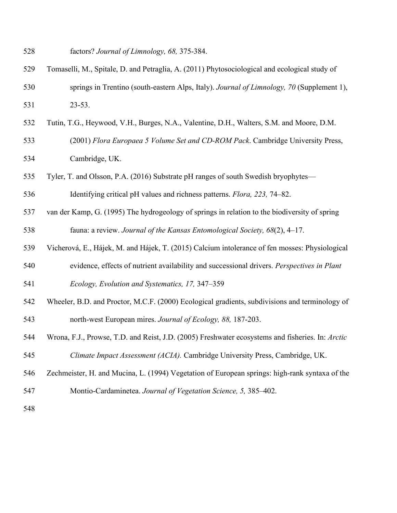- factors? *Journal of Limnology, 68,* 375-384.
- Tomaselli, M., Spitale, D. and Petraglia, A. (2011) Phytosociological and ecological study of springs in Trentino (south-eastern Alps, Italy). *Journal of Limnology, 70* (Supplement 1), 23-53.
- Tutin, T.G., Heywood, V.H., Burges, N.A., Valentine, D.H., Walters, S.M. and Moore, D.M.
- (2001) *Flora Europaea 5 Volume Set and CD-ROM Pack*. Cambridge University Press, Cambridge, UK.
- Tyler, T. and Olsson, P.A. (2016) Substrate pH ranges of south Swedish bryophytes—
- Identifying critical pH values and richness patterns. *Flora, 223,* 74–82.
- van der Kamp, G. (1995) The hydrogeology of springs in relation to the biodiversity of spring fauna: a review. *Journal of the Kansas Entomological Society, 68*(2), 4–17.
- Vicherová, E., Hájek, M. and Hájek, T. (2015) Calcium intolerance of fen mosses: Physiological
- evidence, effects of nutrient availability and successional drivers. *Perspectives in Plant*
- *Ecology, Evolution and Systematics, 17,* 347–359
- Wheeler, B.D. and Proctor, M.C.F. (2000) Ecological gradients, subdivisions and terminology of north-west European mires. *Journal of Ecology, 88,* 187-203.
- Wrona, F.J., Prowse, T.D. and Reist, J.D. (2005) Freshwater ecosystems and fisheries. In: *Arctic Climate Impact Assessment (ACIA).* Cambridge University Press, Cambridge, UK.
- Zechmeister, H. and Mucina, L. (1994) Vegetation of European springs: high-rank syntaxa of the
- Montio-Cardaminetea. *Journal of Vegetation Science, 5,* 385–402.
-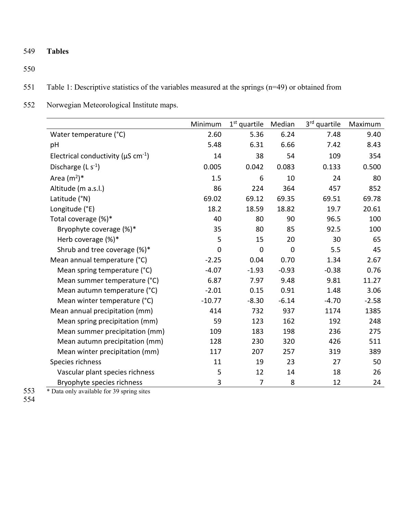549 **Tables**

550

- 551 Table 1: Descriptive statistics of the variables measured at the springs (n=49) or obtained from
- 552 Norwegian Meteorological Institute maps.

|                                                      | Minimum     | $1st$ quartile | Median      | 3rd quartile | Maximum |
|------------------------------------------------------|-------------|----------------|-------------|--------------|---------|
| Water temperature (°C)                               | 2.60        | 5.36           | 6.24        | 7.48         | 9.40    |
| pH                                                   | 5.48        | 6.31           | 6.66        | 7.42         | 8.43    |
| Electrical conductivity ( $\mu$ S cm <sup>-1</sup> ) | 14          | 38             | 54          | 109          | 354     |
| Discharge $(L s-1)$                                  | 0.005       | 0.042          | 0.083       | 0.133        | 0.500   |
| Area $(m^2)^*$                                       | 1.5         | 6              | 10          | 24           | 80      |
| Altitude (m a.s.l.)                                  | 86          | 224            | 364         | 457          | 852     |
| Latitude (°N)                                        | 69.02       | 69.12          | 69.35       | 69.51        | 69.78   |
| Longitude (°E)                                       | 18.2        | 18.59          | 18.82       | 19.7         | 20.61   |
| Total coverage (%)*                                  | 40          | 80             | 90          | 96.5         | 100     |
| Bryophyte coverage (%)*                              | 35          | 80             | 85          | 92.5         | 100     |
| Herb coverage (%)*                                   | 5           | 15             | 20          | 30           | 65      |
| Shrub and tree coverage (%)*                         | $\mathbf 0$ | $\mathbf 0$    | $\mathbf 0$ | 5.5          | 45      |
| Mean annual temperature (°C)                         | $-2.25$     | 0.04           | 0.70        | 1.34         | 2.67    |
| Mean spring temperature (°C)                         | $-4.07$     | $-1.93$        | $-0.93$     | $-0.38$      | 0.76    |
| Mean summer temperature (°C)                         | 6.87        | 7.97           | 9.48        | 9.81         | 11.27   |
| Mean autumn temperature (°C)                         | $-2.01$     | 0.15           | 0.91        | 1.48         | 3.06    |
| Mean winter temperature (°C)                         | $-10.77$    | $-8.30$        | $-6.14$     | $-4.70$      | $-2.58$ |
| Mean annual precipitation (mm)                       | 414         | 732            | 937         | 1174         | 1385    |
| Mean spring precipitation (mm)                       | 59          | 123            | 162         | 192          | 248     |
| Mean summer precipitation (mm)                       | 109         | 183            | 198         | 236          | 275     |
| Mean autumn precipitation (mm)                       | 128         | 230            | 320         | 426          | 511     |
| Mean winter precipitation (mm)                       | 117         | 207            | 257         | 319          | 389     |
| Species richness                                     | 11          | 19             | 23          | 27           | 50      |
| Vascular plant species richness                      | 5           | 12             | 14          | 18           | 26      |
| Bryophyte species richness                           | 3           | 7              | 8           | 12           | 24      |

\* Data only available for 39 spring sites

553<br>554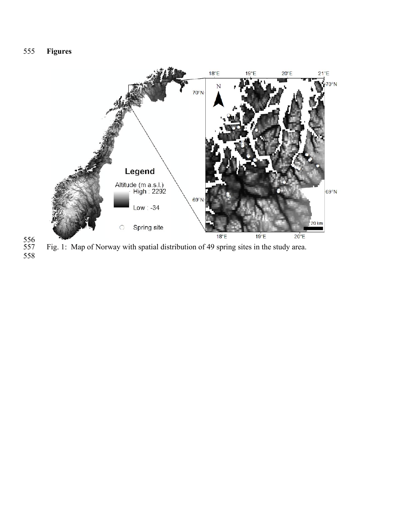



 Fig. 1: Map of Norway with spatial distribution of 49 spring sites in the study area.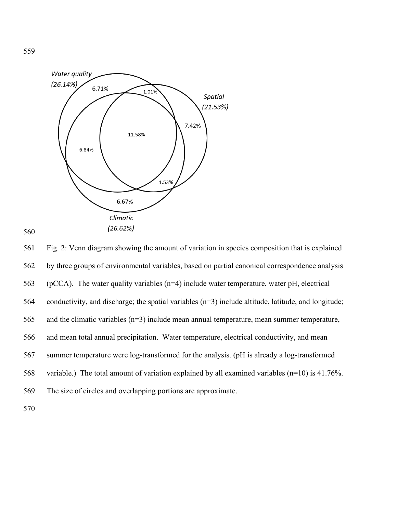



561 Fig. 2: Venn diagram showing the amount of variation in species composition that is explained 562 by three groups of environmental variables, based on partial canonical correspondence analysis 563 (pCCA). The water quality variables ( $n=4$ ) include water temperature, water pH, electrical 564 conductivity, and discharge; the spatial variables (n=3) include altitude, latitude, and longitude; 565 and the climatic variables (n=3) include mean annual temperature, mean summer temperature, 566 and mean total annual precipitation. Water temperature, electrical conductivity, and mean 567 summer temperature were log-transformed for the analysis. (pH is already a log-transformed 568 variable.) The total amount of variation explained by all examined variables (n=10) is 41.76%. 569 The size of circles and overlapping portions are approximate.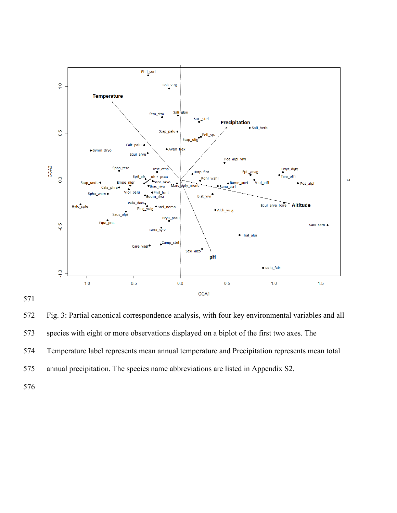



572 Fig. 3: Partial canonical correspondence analysis, with four key environmental variables and all 573 species with eight or more observations displayed on a biplot of the first two axes. The 574 Temperature label represents mean annual temperature and Precipitation represents mean total 575 annual precipitation. The species name abbreviations are listed in Appendix S2.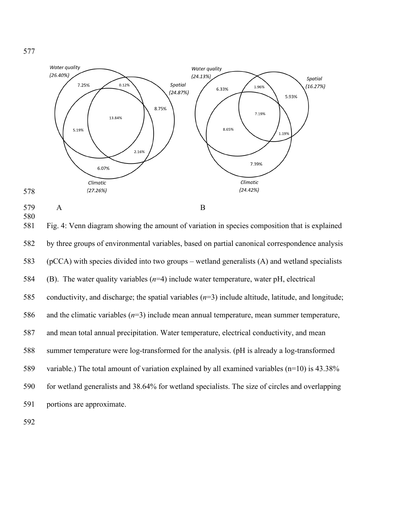

577

- 
- 580

581 Fig. 4: Venn diagram showing the amount of variation in species composition that is explained 582 by three groups of environmental variables, based on partial canonical correspondence analysis 583 (pCCA) with species divided into two groups – wetland generalists (A) and wetland specialists 584 (B). The water quality variables (*n*=4) include water temperature, water pH, electrical 585 conductivity, and discharge; the spatial variables (*n*=3) include altitude, latitude, and longitude; 586 and the climatic variables (*n*=3) include mean annual temperature, mean summer temperature, 587 and mean total annual precipitation. Water temperature, electrical conductivity, and mean 588 summer temperature were log-transformed for the analysis. (pH is already a log-transformed 589 variable.) The total amount of variation explained by all examined variables (n=10) is 43.38% 590 for wetland generalists and 38.64% for wetland specialists. The size of circles and overlapping 591 portions are approximate.